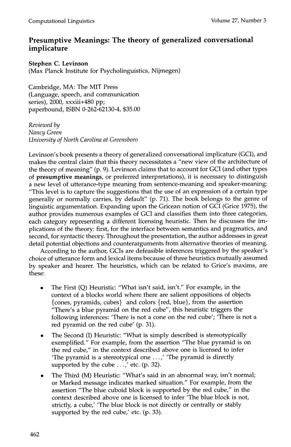## **Presumptive Meanings: The theory of generalized conversational implicature**

**Stephen C. Levinson**  (Max Planck Institute for Psycholinguistics, Nijmegen)

Cambridge, MA: The MIT Press (Language, speech, and communication series), 2000, xxxiii+480 pp; paperbound, ISBN 0-262-62130-4, \$35.00

*Reviewed by Nancy Green University of North Carolina at Greensboro* 

Levinson's book presents a theory of generalized conversational implicature (GCI), and makes the central claim that this theory necessitates a "new view of the architecture of the theory of meaning" (p. 9). Levinson claims that to account for GCI (and other types of **presumptive meanings,** or preferred interpretations), it is necessary to distinguish a new level of utterance-type meaning from sentence-meaning and speaker-meaning: "This level is to capture the suggestions that the use of an expression of a certain type generally or normally carries, by default" (p. 71). The book belongs to the genre of linguistic argumentation. Expanding upon the Gricean notion of GCI (Grice 1975), the author provides numerous examples of GCI and classifies them into three categories, each category representing a different licensing heuristic. Then he discusses the implications of the theory: first, for the interface between semantics and pragmatics, and second, for syntactic theory. Throughout the presentation, the author addresses in great detail potential objections and counterarguments from alternative theories of meaning.

According to the author, GCIs are defeasible inferences triggered by the speaker's choice of utterance form and lexical items because of three heuristics mutually assumed by speaker and hearer. The heuristics, which can be related to Grice's maxims, are these:

- The First (Q) Heuristic: "What isn't said, isn't." For example, in the context of a blocks world where there are salient oppositions of objects {cones, pyramids, cubes} and colors {red, blue}, from the assertion "There's a blue pyramid on the red cube", this heuristic triggers the following inferences: 'There is not a cone on the red cube'; 'There is not a red pyramid on the red cube' (p. 31).
- The Second (I) Heuristic: "What is simply described is stereotypically exemplified." For example, from the assertion "The blue pyramid is on the red cube," in the context described above one is licensed to infer The pyramid is a stereotypical one  $\ldots$ , 'The pyramid is directly supported by the cube  $\ldots$ , etc. (p. 32).
- The Third (M) Heuristic: "What's said in an abnormal way, isn't normal; or Marked message indicates marked situation." For example, from the assertion "The blue cuboid block is supported by the red cube," in the context described above one is licensed to infer 'The blue block is not, strictly, a cube,' 'The blue block is not directly or centrally or stably supported by the red cube,' etc. (p. 33).